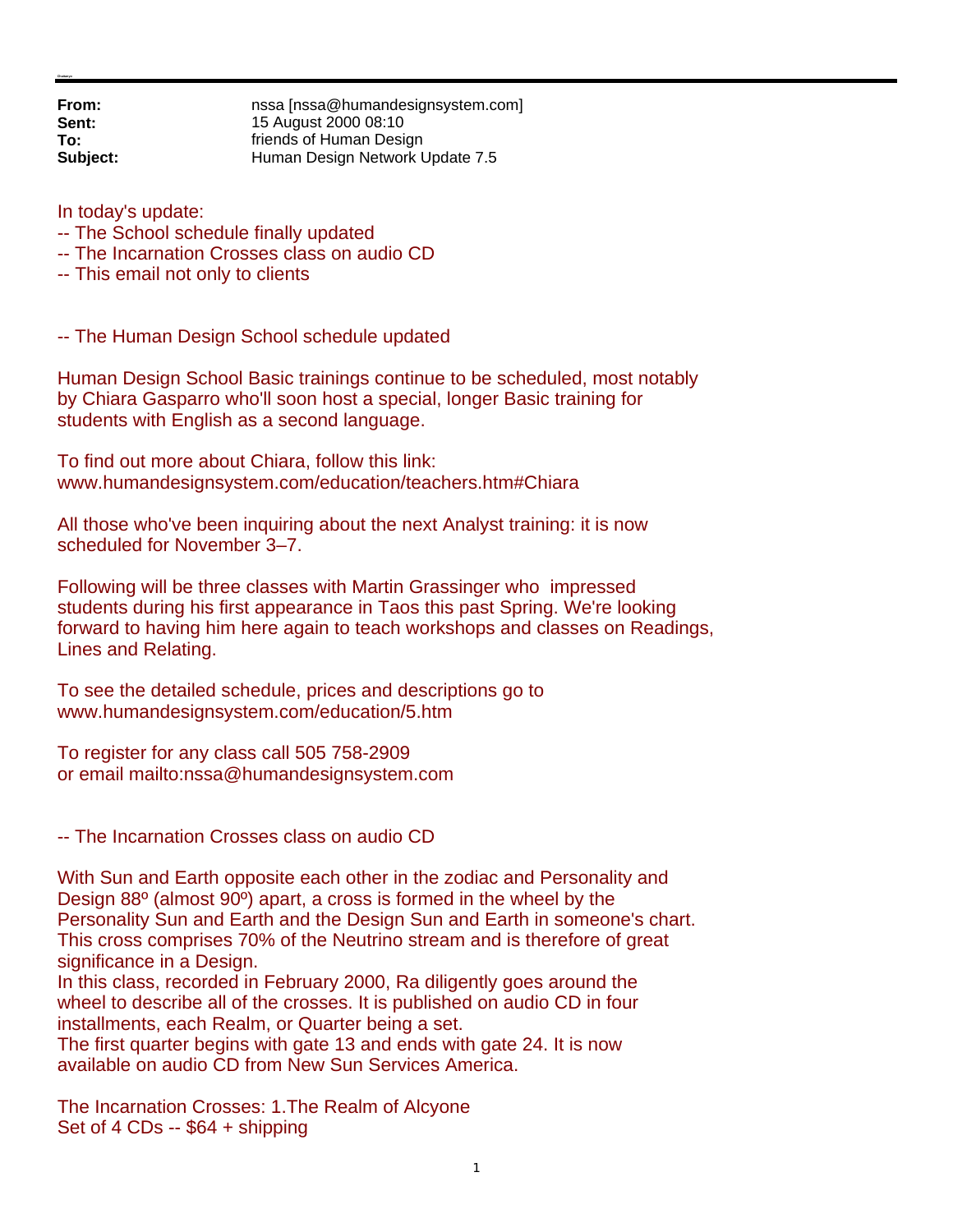**From: nssa** [nssa@humandesignsystem.com]<br> **Sent:** 15 August 2000 08:10 **Sent:** 15 August 2000 08:10 **To: Friends of Human Design Subject:** Human Design Network Update 7.5

In today's update:

- -- The School schedule finally updated
- -- The Incarnation Crosses class on audio CD
- -- This email not only to clients

-- The Human Design School schedule updated

Human Design School Basic trainings continue to be scheduled, most notably by Chiara Gasparro who'll soon host a special, longer Basic training for students with English as a second language.

To find out more about Chiara, follow this link: www.humandesignsystem.com/education/teachers.htm#Chiara

All those who've been inquiring about the next Analyst training: it is now scheduled for November 3–7.

Following will be three classes with Martin Grassinger who impressed students during his first appearance in Taos this past Spring. We're looking forward to having him here again to teach workshops and classes on Readings, Lines and Relating.

To see the detailed schedule, prices and descriptions go to www.humandesignsystem.com/education/5.htm

To register for any class call 505 758-2909 or email mailto:nssa@humandesignsystem.com

-- The Incarnation Crosses class on audio CD

With Sun and Earth opposite each other in the zodiac and Personality and Design 88º (almost 90º) apart, a cross is formed in the wheel by the Personality Sun and Earth and the Design Sun and Earth in someone's chart. This cross comprises 70% of the Neutrino stream and is therefore of great significance in a Design.

In this class, recorded in February 2000, Ra diligently goes around the wheel to describe all of the crosses. It is published on audio CD in four installments, each Realm, or Quarter being a set.

The first quarter begins with gate 13 and ends with gate 24. It is now available on audio CD from New Sun Services America.

The Incarnation Crosses: 1.The Realm of Alcyone Set of 4 CDs -- \$64 + shipping